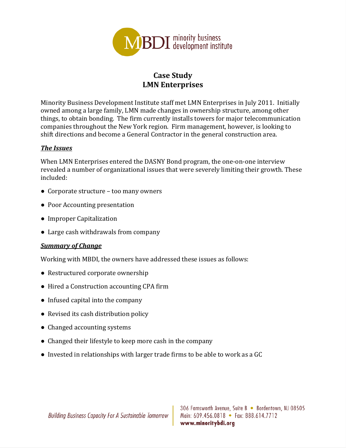

## **Case Study LMN Enterprises**

Minority Business Development Institute staff met LMN Enterprises in July 2011. Initially owned among a large family, LMN made changes in ownership structure, among other things, to obtain bonding. The firm currently installs towers for major telecommunication companies throughout the New York region. Firm management, however, is looking to shift directions and become a General Contractor in the general construction area.

## *The Issues*

When LMN Enterprises entered the DASNY Bond program, the one-on-one interview revealed a number of organizational issues that were severely limiting their growth. These included: 

- Corporate structure too many owners
- Poor Accounting presentation
- Improper Capitalization
- Large cash withdrawals from company

## *Summary of Change*

Working with MBDI, the owners have addressed these issues as follows:

- Restructured corporate ownership
- Hired a Construction accounting CPA firm
- Infused capital into the company
- Revised its cash distribution policy
- Changed accounting systems
- Changed their lifestyle to keep more cash in the company
- Invested in relationships with larger trade firms to be able to work as a GC